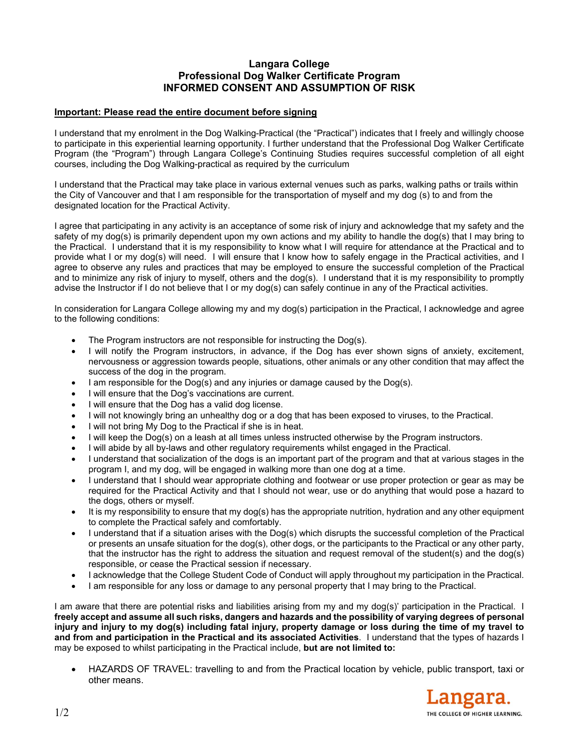## **Langara College Professional Dog Walker Certificate Program INFORMED CONSENT AND ASSUMPTION OF RISK**

## **Important: Please read the entire document before signing**

I understand that my enrolment in the Dog Walking-Practical (the "Practical") indicates that I freely and willingly choose to participate in this experiential learning opportunity. I further understand that the Professional Dog Walker Certificate Program (the "Program") through Langara College's Continuing Studies requires successful completion of all eight courses, including the Dog Walking-practical as required by the curriculum

I understand that the Practical may take place in various external venues such as parks, walking paths or trails within the City of Vancouver and that I am responsible for the transportation of myself and my dog (s) to and from the designated location for the Practical Activity.

I agree that participating in any activity is an acceptance of some risk of injury and acknowledge that my safety and the safety of my dog(s) is primarily dependent upon my own actions and my ability to handle the dog(s) that I may bring to the Practical. I understand that it is my responsibility to know what I will require for attendance at the Practical and to provide what I or my dog(s) will need. I will ensure that I know how to safely engage in the Practical activities, and I agree to observe any rules and practices that may be employed to ensure the successful completion of the Practical and to minimize any risk of injury to myself, others and the dog(s). I understand that it is my responsibility to promptly advise the Instructor if I do not believe that I or my dog(s) can safely continue in any of the Practical activities.

In consideration for Langara College allowing my and my dog(s) participation in the Practical, I acknowledge and agree to the following conditions:

- The Program instructors are not responsible for instructing the Dog(s).
- I will notify the Program instructors, in advance, if the Dog has ever shown signs of anxiety, excitement, nervousness or aggression towards people, situations, other animals or any other condition that may affect the success of the dog in the program.
- $\bullet$  I am responsible for the Dog(s) and any injuries or damage caused by the Dog(s).
- I will ensure that the Dog's vaccinations are current.
- I will ensure that the Dog has a valid dog license.
- I will not knowingly bring an unhealthy dog or a dog that has been exposed to viruses, to the Practical.
- I will not bring My Dog to the Practical if she is in heat.
- I will keep the Dog(s) on a leash at all times unless instructed otherwise by the Program instructors.
- I will abide by all by-laws and other regulatory requirements whilst engaged in the Practical.
- I understand that socialization of the dogs is an important part of the program and that at various stages in the program I, and my dog, will be engaged in walking more than one dog at a time.
- I understand that I should wear appropriate clothing and footwear or use proper protection or gear as may be required for the Practical Activity and that I should not wear, use or do anything that would pose a hazard to the dogs, others or myself.
- It is my responsibility to ensure that my dog(s) has the appropriate nutrition, hydration and any other equipment to complete the Practical safely and comfortably.
- I understand that if a situation arises with the Dog(s) which disrupts the successful completion of the Practical or presents an unsafe situation for the dog(s), other dogs, or the participants to the Practical or any other party, that the instructor has the right to address the situation and request removal of the student(s) and the dog(s) responsible, or cease the Practical session if necessary.
- I acknowledge that the College Student Code of Conduct will apply throughout my participation in the Practical.
- I am responsible for any loss or damage to any personal property that I may bring to the Practical.

I am aware that there are potential risks and liabilities arising from my and my dog(s)' participation in the Practical. I **freely accept and assume all such risks, dangers and hazards and the possibility of varying degrees of personal injury and injury to my dog(s) including fatal injury, property damage or loss during the time of my travel to and from and participation in the Practical and its associated Activities**. I understand that the types of hazards I may be exposed to whilst participating in the Practical include, **but are not limited to:**

 HAZARDS OF TRAVEL: travelling to and from the Practical location by vehicle, public transport, taxi or other means.